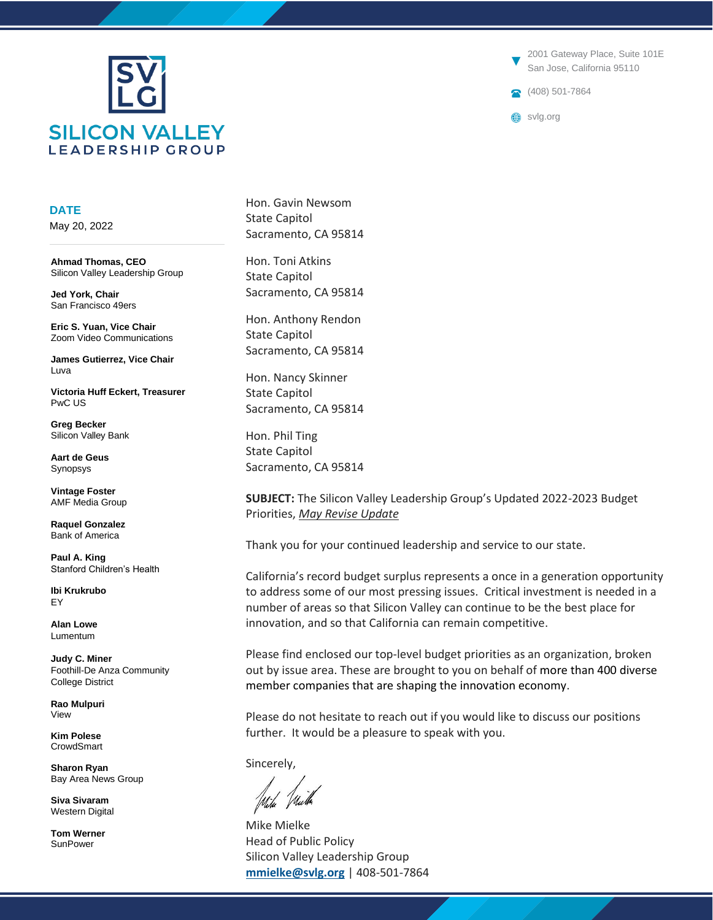

**DATE**

May 20, 2022

**Ahmad Thomas, CEO** Silicon Valley Leadership Group

**Jed York, Chair** San Francisco 49ers

**Eric S. Yuan, Vice Chair** Zoom Video Communications

**James Gutierrez, Vice Chair** Luva

**Victoria Huff Eckert, Treasurer** PwC US

**Greg Becker** Silicon Valley Bank

**Aart de Geus** Synopsys

**Vintage Foster** AMF Media Group

**Raquel Gonzalez** Bank of America

**Paul A. King** Stanford Children's Health

**Ibi Krukrubo** EY

**Alan Lowe** Lumentum

**Judy C. Miner** Foothill-De Anza Community College District

**Rao Mulpuri** View

**Kim Polese CrowdSmart** 

**Sharon Ryan** Bay Area News Group

**Siva Sivaram** Western Digital

**Tom Werner** SunPower

Hon. Gavin Newsom State Capitol Sacramento, CA 95814

Hon. Toni Atkins State Capitol Sacramento, CA 95814

Hon. Anthony Rendon State Capitol Sacramento, CA 95814

Hon. Nancy Skinner State Capitol Sacramento, CA 95814

Hon. Phil Ting State Capitol Sacramento, CA 95814

**SUBJECT:** The Silicon Valley Leadership Group's Updated 2022-2023 Budget Priorities, *May Revise Update*

Thank you for your continued leadership and service to our state.

California's record budget surplus represents a once in a generation opportunity to address some of our most pressing issues. Critical investment is needed in a number of areas so that Silicon Valley can continue to be the best place for innovation, and so that California can remain competitive.

Please find enclosed our top-level budget priorities as an organization, broken out by issue area. These are brought to you on behalf of more than 400 diverse member companies that are shaping the innovation economy.

Please do not hesitate to reach out if you would like to discuss our positions further. It would be a pleasure to speak with you.

Sincerely,

Mike Mielke Head of Public Policy Silicon Valley Leadership Group **[mmielke@svlg.org](mailto:mmielke@svlg.org)** | 408-501-7864

2001 Gateway Place, Suite 101E San Jose, California 95110

408) 501-7864

svlg.org

▼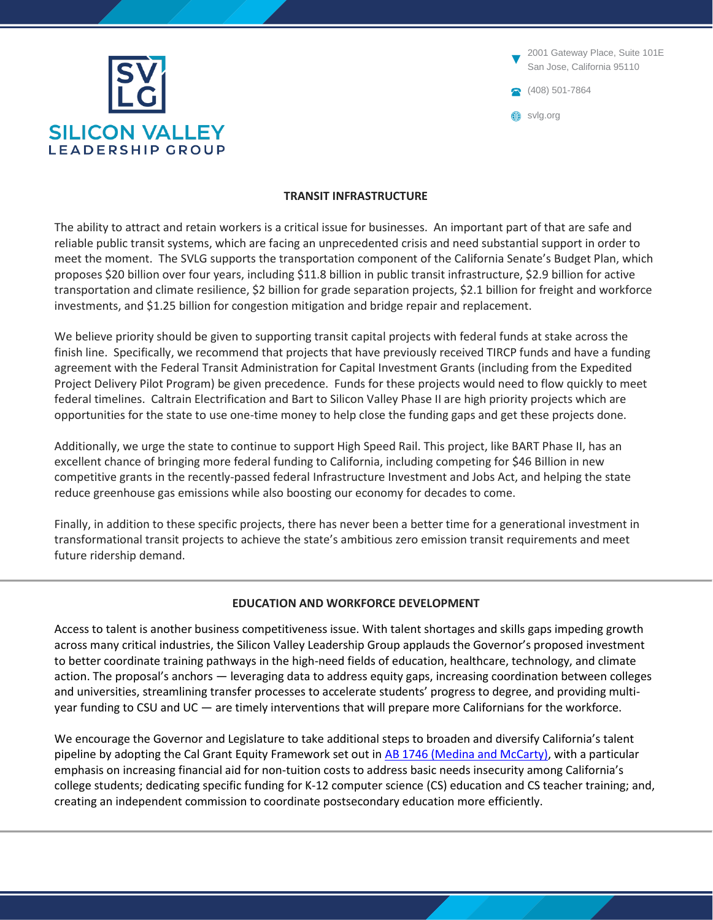

 $(408)$  501-7864 2001 Gateway Place, Suite 101E San Jose, California 95110 svlg.org ▼

### **TRANSIT INFRASTRUCTURE**

The ability to attract and retain workers is a critical issue for businesses. An important part of that are safe and reliable public transit systems, which are facing an unprecedented crisis and need substantial support in order to meet the moment. The SVLG supports the transportation component of the California Senate's Budget Plan, which proposes \$20 billion over four years, including \$11.8 billion in public transit infrastructure, \$2.9 billion for active transportation and climate resilience, \$2 billion for grade separation projects, \$2.1 billion for freight and workforce investments, and \$1.25 billion for congestion mitigation and bridge repair and replacement.

We believe priority should be given to supporting transit capital projects with federal funds at stake across the finish line. Specifically, we recommend that projects that have previously received TIRCP funds and have a funding agreement with the Federal Transit Administration for Capital Investment Grants (including from the Expedited Project Delivery Pilot Program) be given precedence. Funds for these projects would need to flow quickly to meet federal timelines. Caltrain Electrification and Bart to Silicon Valley Phase II are high priority projects which are opportunities for the state to use one-time money to help close the funding gaps and get these projects done.

Additionally, we urge the state to continue to support High Speed Rail. This project, like BART Phase II, has an excellent chance of bringing more federal funding to California, including competing for \$46 Billion in new competitive grants in the recently-passed federal Infrastructure Investment and Jobs Act, and helping the state reduce greenhouse gas emissions while also boosting our economy for decades to come.

Finally, in addition to these specific projects, there has never been a better time for a generational investment in transformational transit projects to achieve the state's ambitious zero emission transit requirements and meet future ridership demand.

# **EDUCATION AND WORKFORCE DEVELOPMENT**

Access to talent is another business competitiveness issue. With talent shortages and skills gaps impeding growth across many critical industries, the Silicon Valley Leadership Group applauds the Governor's proposed investment to better coordinate training pathways in the high-need fields of education, healthcare, technology, and climate action. The proposal's anchors — leveraging data to address equity gaps, increasing coordination between colleges and universities, streamlining transfer processes to accelerate students' progress to degree, and providing multiyear funding to CSU and UC — are timely interventions that will prepare more Californians for the workforce.

We encourage the Governor and Legislature to take additional steps to broaden and diversify California's talent pipeline by adopting the Cal Grant Equity Framework set out in **AB 1746 (Medina and McCarty)**, with a particular emphasis on increasing financial aid for non-tuition costs to address basic needs insecurity among California's college students; dedicating specific funding for K-12 computer science (CS) education and CS teacher training; and, creating an independent commission to coordinate postsecondary education more efficiently.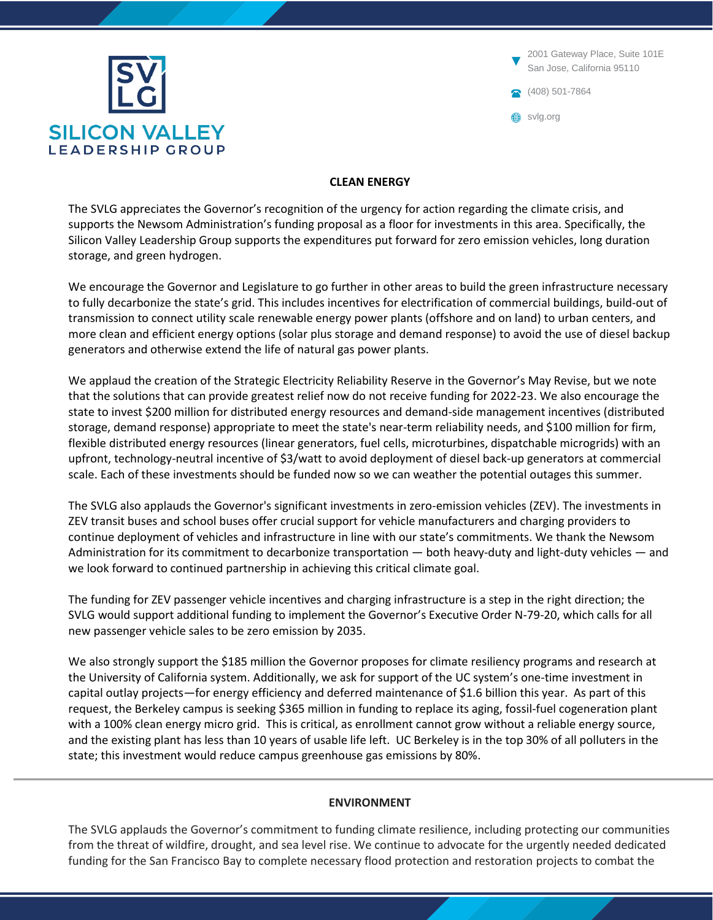

408) 501-7864 2001 Gateway Place, Suite 101E San Jose, California 95110 svlg.org ▼

# **CLEAN ENERGY**

The SVLG appreciates the Governor's recognition of the urgency for action regarding the climate crisis, and supports the Newsom Administration's funding proposal as a floor for investments in this area. Specifically, the Silicon Valley Leadership Group supports the expenditures put forward for zero emission vehicles, long duration storage, and green hydrogen.

We encourage the Governor and Legislature to go further in other areas to build the green infrastructure necessary to fully decarbonize the state's grid. This includes incentives for electrification of commercial buildings, build-out of transmission to connect utility scale renewable energy power plants (offshore and on land) to urban centers, and more clean and efficient energy options (solar plus storage and demand response) to avoid the use of diesel backup generators and otherwise extend the life of natural gas power plants.

We applaud the creation of the Strategic Electricity Reliability Reserve in the Governor's May Revise, but we note that the solutions that can provide greatest relief now do not receive funding for 2022-23. We also encourage the state to invest \$200 million for distributed energy resources and demand-side management incentives (distributed storage, demand response) appropriate to meet the state's near-term reliability needs, and \$100 million for firm, flexible distributed energy resources (linear generators, fuel cells, microturbines, dispatchable microgrids) with an upfront, technology-neutral incentive of \$3/watt to avoid deployment of diesel back-up generators at commercial scale. Each of these investments should be funded now so we can weather the potential outages this summer.

The SVLG also applauds the Governor's significant investments in zero-emission vehicles (ZEV). The investments in ZEV transit buses and school buses offer crucial support for vehicle manufacturers and charging providers to continue deployment of vehicles and infrastructure in line with our state's commitments. We thank the Newsom Administration for its commitment to decarbonize transportation — both heavy-duty and light-duty vehicles — and we look forward to continued partnership in achieving this critical climate goal.

The funding for ZEV passenger vehicle incentives and charging infrastructure is a step in the right direction; the SVLG would support additional funding to implement the Governor's Executive Order N-79-20, which calls for all new passenger vehicle sales to be zero emission by 2035.

We also strongly support the \$185 million the Governor proposes for climate resiliency programs and research at the University of California system. Additionally, we ask for support of the UC system's one-time investment in capital outlay projects—for energy efficiency and deferred maintenance of \$1.6 billion this year. As part of this request, the Berkeley campus is seeking \$365 million in funding to replace its aging, fossil-fuel cogeneration plant with a 100% clean energy micro grid. This is critical, as enrollment cannot grow without a reliable energy source, and the existing plant has less than 10 years of usable life left. UC Berkeley is in the top 30% of all polluters in the state; this investment would reduce campus greenhouse gas emissions by 80%.

# **ENVIRONMENT**

The SVLG applauds the Governor's commitment to funding climate resilience, including protecting our communities from the threat of wildfire, drought, and sea level rise. We continue to advocate for the urgently needed dedicated funding for the San Francisco Bay to complete necessary flood protection and restoration projects to combat the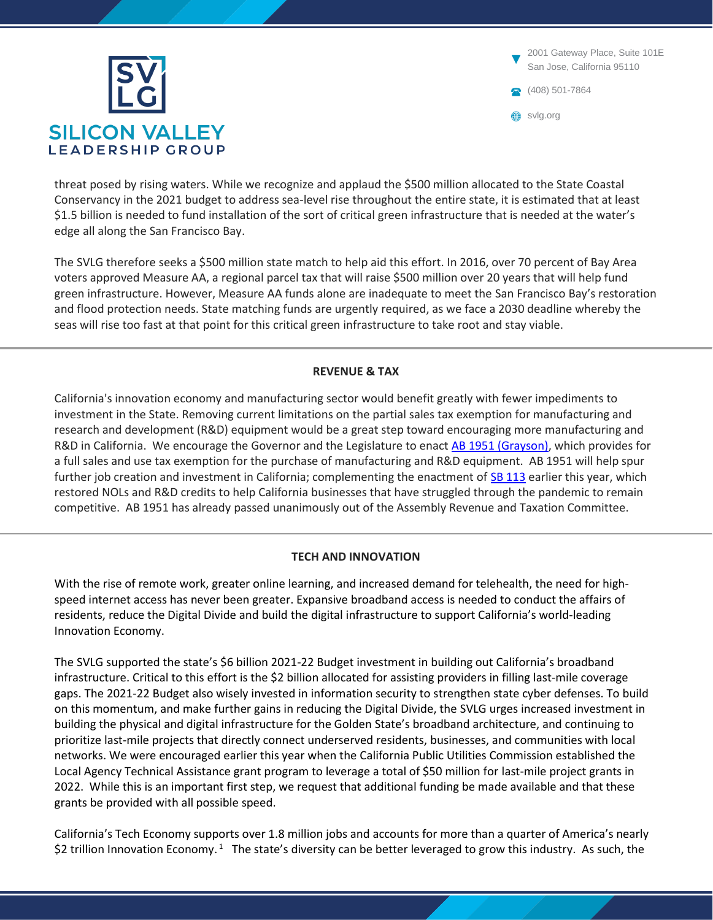

 $(408)$  501-7864 2001 Gateway Place, Suite 101E San Jose, California 95110 svlg.org ▼

threat posed by rising waters. While we recognize and applaud the \$500 million allocated to the State Coastal Conservancy in the 2021 budget to address sea-level rise throughout the entire state, it is estimated that at least \$1.5 billion is needed to fund installation of the sort of critical green infrastructure that is needed at the water's edge all along the San Francisco Bay.

The SVLG therefore seeks a \$500 million state match to help aid this effort. In 2016, over 70 percent of Bay Area voters approved Measure AA, a regional parcel tax that will raise \$500 million over 20 years that will help fund green infrastructure. However, Measure AA funds alone are inadequate to meet the San Francisco Bay's restoration and flood protection needs. State matching funds are urgently required, as we face a 2030 deadline whereby the seas will rise too fast at that point for this critical green infrastructure to take root and stay viable.

# **REVENUE & TAX**

California's innovation economy and manufacturing sector would benefit greatly with fewer impediments to investment in the State. Removing current limitations on the partial sales tax exemption for manufacturing and research and development (R&D) equipment would be a great step toward encouraging more manufacturing and R&D in California. We encourage the Governor and the Legislature to enact [AB 1951 \(Grayson\),](https://leginfo.legislature.ca.gov/faces/billNavClient.xhtml?bill_id=202120220AB1951) which provides for a full sales and use tax exemption for the purchase of manufacturing and R&D equipment. AB 1951 will help spur further job creation and investment in California; complementing the enactment of [SB 113](https://leginfo.legislature.ca.gov/faces/billNavClient.xhtml?bill_id=202120220SB113) earlier this year, which restored NOLs and R&D credits to help California businesses that have struggled through the pandemic to remain competitive. AB 1951 has already passed unanimously out of the Assembly Revenue and Taxation Committee.

# **TECH AND INNOVATION**

With the rise of remote work, greater online learning, and increased demand for telehealth, the need for highspeed internet access has never been greater. Expansive broadband access is needed to conduct the affairs of residents, reduce the Digital Divide and build the digital infrastructure to support California's world-leading Innovation Economy.

The SVLG supported the state's \$6 billion 2021-22 Budget investment in building out California's broadband infrastructure. Critical to this effort is the \$2 billion allocated for assisting providers in filling last-mile coverage gaps. The 2021-22 Budget also wisely invested in information security to strengthen state cyber defenses. To build on this momentum, and make further gains in reducing the Digital Divide, the SVLG urges increased investment in building the physical and digital infrastructure for the Golden State's broadband architecture, and continuing to prioritize last-mile projects that directly connect underserved residents, businesses, and communities with local networks. We were encouraged earlier this year when the California Public Utilities Commission established the Local Agency Technical Assistance grant program to leverage a total of \$50 million for last-mile project grants in 2022. While this is an important first step, we request that additional funding be made available and that these grants be provided with all possible speed.

California's Tech Economy supports over 1.8 million jobs and accounts for more than a quarter of America's nearly \$2 trillion Innovation Economy.<sup>1</sup> The state's diversity can be better leveraged to grow this industry. As such, the